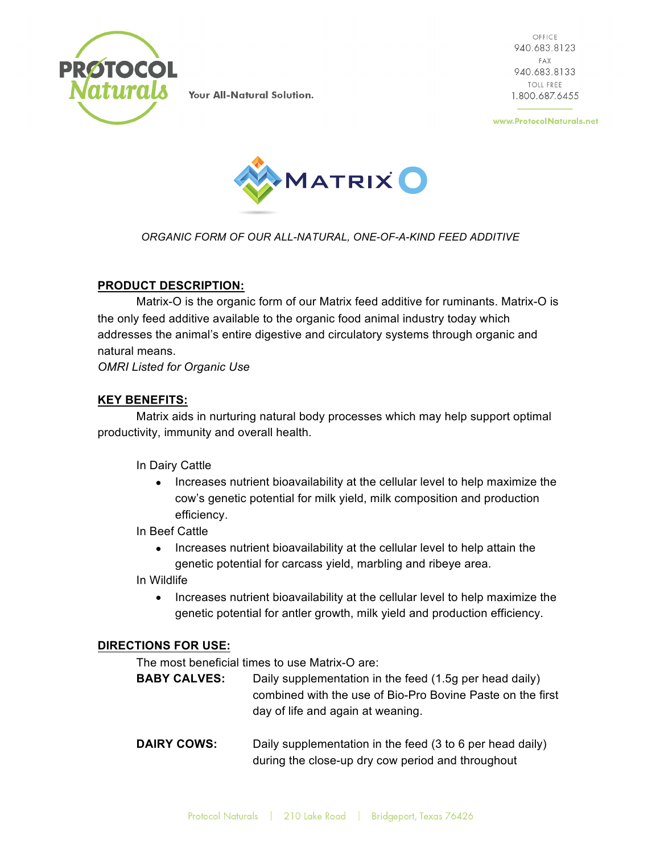

OFFICE 940.683.8123 FAX 940.683.8133 **TOLL FREE** 1.800.687.6455

www.ProtocolNaturals.net



*ORGANIC FORM OF OUR ALL-NATURAL, ONE-OF-A-KIND FEED ADDITIVE*

# **PRODUCT DESCRIPTION:**

Matrix-O is the organic form of our Matrix feed additive for ruminants. Matrix-O is the only feed additive available to the organic food animal industry today which addresses the animal's entire digestive and circulatory systems through organic and natural means.

*OMRI Listed for Organic Use*

# **KEY BENEFITS:**

Matrix aids in nurturing natural body processes which may help support optimal productivity, immunity and overall health.

In Dairy Cattle

• Increases nutrient bioavailability at the cellular level to help maximize the cow's genetic potential for milk yield, milk composition and production efficiency.

In Beef Cattle

• Increases nutrient bioavailability at the cellular level to help attain the genetic potential for carcass yield, marbling and ribeye area.

In Wildlife

• Increases nutrient bioavailability at the cellular level to help maximize the genetic potential for antler growth, milk yield and production efficiency.

### **DIRECTIONS FOR USE:**

The most beneficial times to use Matrix-O are:

- **BABY CALVES:** Daily supplementation in the feed (1.5g per head daily) combined with the use of Bio-Pro Bovine Paste on the first day of life and again at weaning.
- **DAIRY COWS:** Daily supplementation in the feed (3 to 6 per head daily) during the close-up dry cow period and throughout